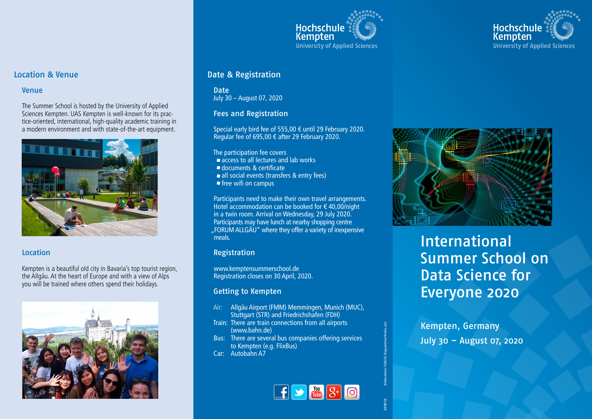



## Location & Venue

## Venue

The Summer School is hosted by the University of Applied Sciences Kempten. UAS Kempten is well-known for its practice-oriented, international, high-quality academic training in a modern environment and with state-of-the-art equipment.



## **Location**

Kempten is a beautiful old city in Bavaria's top tourist region, the Allgäu. At the heart of Europe and with a view of Alps you will be trained where others spend their holidays.



# Date & Registration

Date July 30 – August 07, 2020

#### Fees and Registration

Special early bird fee of 555,00 € until 29 February 2020. Regular fee of 695,00 € after 29 February 2020.

The participation fee covers

- **access to all lectures and lab works**
- documents & certificate
- all social events (transfers & entry fees)
- $\blacksquare$  free wifi on campus

Participants need to make their own travel arrangements. Hotel accommodation can be booked for  $\epsilon$  40,00/night in a twin room. Arrival on Wednesday, 29 July 2020. Participants may have lunch at nearby shopping centre "FORUM ALLGÄU" where they offer a variety of inexpensive meals.

## Registration

www.kemptensummerschool.de Registration closes on 30 April, 2020.

#### Getting to Kempten

- Air: Allgäu Airport (FMM) Memmingen, Munich (MUC), Stuttgart (STR) and Friedrichshafen (FDH)
- Train: There are train connections from all airports (www.bahn.de)
- Bus: There are several bus companies offering services to Kempten (e.g. FlixBus)
- Car: Autobahn A7





# International Summer School on Data Science for Everyone 2020

Kempten, Germany July 30 – August 07, 2020

**2019/12** Bildnachweis Titelbild: ©agsandrew/fotolia.com